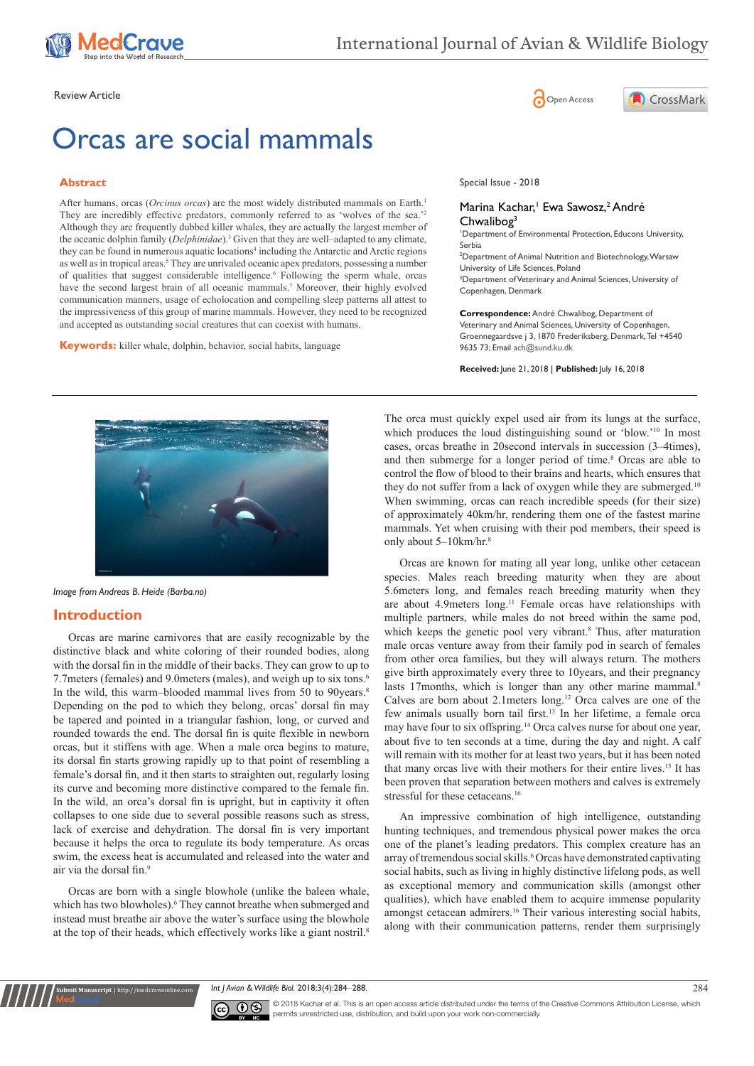

Review Article **Contracts** Contracts and Contracts Contracts Contracts Contracts Contracts Contracts Contracts Contracts Contracts Contracts Contracts Contracts Contracts Contracts Contracts Contracts Contracts Contracts C

# Orcas are social mammals

#### **Abstract**

After humans, orcas (*Orcinus orcas*) are the most widely distributed mammals on Earth.<sup>1</sup> They are incredibly effective predators, commonly referred to as 'wolves of the sea.<sup>22</sup> Although they are frequently dubbed killer whales, they are actually the largest member of the oceanic dolphin family (*Delphinidae*).3 Given that they are well–adapted to any climate, they can be found in numerous aquatic locations<sup>4</sup> including the Antarctic and Arctic regions as well as in tropical areas.<sup>5</sup> They are unrivaled oceanic apex predators, possessing a number of qualities that suggest considerable intelligence.<sup>6</sup> Following the sperm whale, orcas have the second largest brain of all oceanic mammals.<sup>7</sup> Moreover, their highly evolved communication manners, usage of echolocation and compelling sleep patterns all attest to the impressiveness of this group of marine mammals. However, they need to be recognized and accepted as outstanding social creatures that can coexist with humans.

**Keywords:** killer whale, dolphin, behavior, social habits, language



Special Issue - 2018

#### Marina Kachar,<sup>1</sup> Ewa Sawosz,<sup>2</sup> André Chwalibog<sup>3</sup>

1 Department of Environmental Protection, Educons University, Serbia

2 Department of Animal Nutrition and Biotechnology, Warsaw University of Life Sciences, Poland

<sup>3</sup>Department of Veterinary and Animal Sciences, University of Copenhagen, Denmark

**Correspondence:** André Chwalibog, Department of Veterinary and Animal Sciences, University of Copenhagen, Groennegaardsve j 3, 1870 Frederiksberg, Denmark, Tel +4540 9635 73; Email ach@sund.ku.dk

**Received:** June 21, 2018 | **Published:** July 16, 2018





**Kubmit Manuscript** | http://medcraveonli

## **Introduction**

Orcas are marine carnivores that are easily recognizable by the distinctive black and white coloring of their rounded bodies, along with the dorsal fin in the middle of their backs. They can grow to up to 7.7meters (females) and 9.0meters (males), and weigh up to six tons.<sup>6</sup> In the wild, this warm–blooded mammal lives from 50 to 90years.<sup>8</sup> Depending on the pod to which they belong, orcas' dorsal fin may be tapered and pointed in a triangular fashion, long, or curved and rounded towards the end. The dorsal fin is quite flexible in newborn orcas, but it stiffens with age. When a male orca begins to mature, its dorsal fin starts growing rapidly up to that point of resembling a female's dorsal fin, and it then starts to straighten out, regularly losing its curve and becoming more distinctive compared to the female fin. In the wild, an orca's dorsal fin is upright, but in captivity it often collapses to one side due to several possible reasons such as stress, lack of exercise and dehydration. The dorsal fin is very important because it helps the orca to regulate its body temperature. As orcas swim, the excess heat is accumulated and released into the water and air via the dorsal fin.<sup>9</sup>

Orcas are born with a single blowhole (unlike the baleen whale, which has two blowholes).<sup>6</sup> They cannot breathe when submerged and instead must breathe air above the water's surface using the blowhole at the top of their heads, which effectively works like a giant nostril.<sup>8</sup>

The orca must quickly expel used air from its lungs at the surface, which produces the loud distinguishing sound or 'blow.'<sup>10</sup> In most cases, orcas breathe in 20second intervals in succession (3–4times), and then submerge for a longer period of time.<sup>8</sup> Orcas are able to control the flow of blood to their brains and hearts, which ensures that they do not suffer from a lack of oxygen while they are submerged.<sup>10</sup> When swimming, orcas can reach incredible speeds (for their size) of approximately 40km/hr, rendering them one of the fastest marine mammals. Yet when cruising with their pod members, their speed is only about 5–10km/hr.<sup>8</sup>

Orcas are known for mating all year long, unlike other cetacean species. Males reach breeding maturity when they are about 5.6meters long, and females reach breeding maturity when they are about 4.9meters long.<sup>11</sup> Female orcas have relationships with multiple partners, while males do not breed within the same pod, which keeps the genetic pool very vibrant.<sup>8</sup> Thus, after maturation male orcas venture away from their family pod in search of females from other orca families, but they will always return. The mothers give birth approximately every three to 10years, and their pregnancy lasts 17months, which is longer than any other marine mammal.<sup>8</sup> Calves are born about 2.1meters long.12 Orca calves are one of the few animals usually born tail first.13 In her lifetime, a female orca may have four to six offspring.14 Orca calves nurse for about one year, about five to ten seconds at a time, during the day and night. A calf will remain with its mother for at least two years, but it has been noted that many orcas live with their mothers for their entire lives.15 It has been proven that separation between mothers and calves is extremely stressful for these cetaceans.<sup>16</sup>

An impressive combination of high intelligence, outstanding hunting techniques, and tremendous physical power makes the orca one of the planet's leading predators. This complex creature has an array of tremendous social skills.<sup>6</sup> Orcas have demonstrated captivating social habits, such as living in highly distinctive lifelong pods, as well as exceptional memory and communication skills (amongst other qualities), which have enabled them to acquire immense popularity amongst cetacean admirers.<sup>16</sup> Their various interesting social habits, along with their communication patterns, render them surprisingly

*Int J Avian & Wildlife Biol.* 2018;3(4):284‒288. 284



© 2018 Kachar et al. This is an open access article distributed under the terms of the [Creative Commons Attribution License,](https://creativecommons.org/licenses/by-nc/4.0/) which permits unrestricted use, distribution, and build upon your work non-commercially.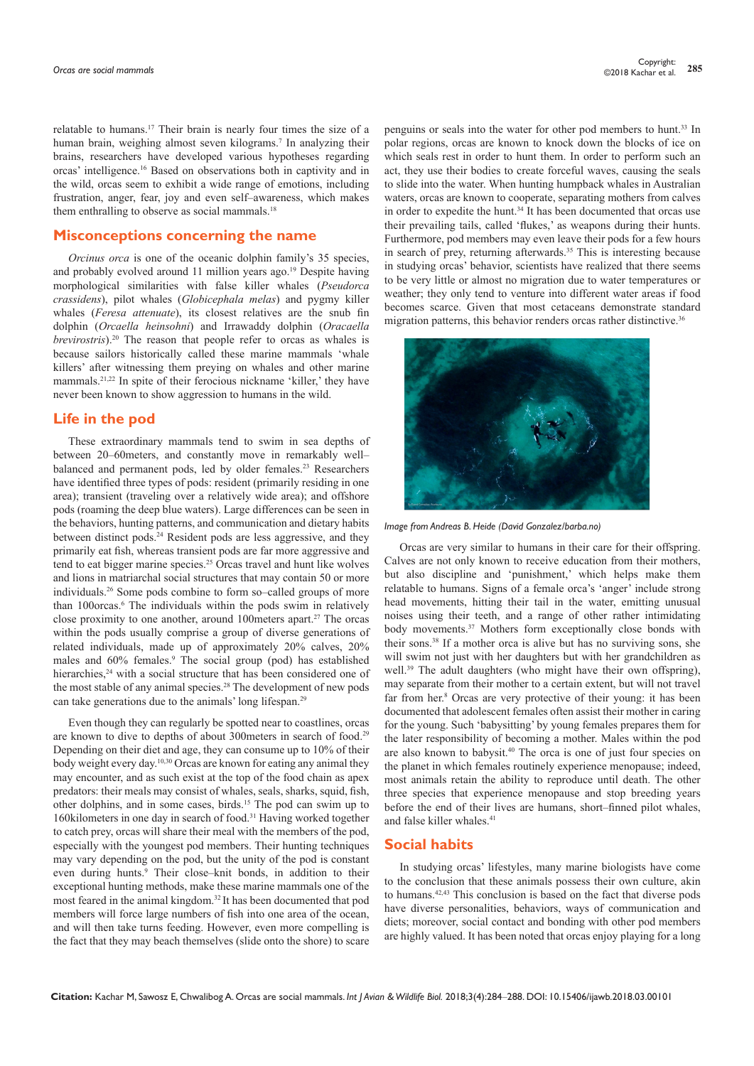relatable to humans.<sup>17</sup> Their brain is nearly four times the size of a human brain, weighing almost seven kilograms.<sup>7</sup> In analyzing their brains, researchers have developed various hypotheses regarding orcas' intelligence.<sup>16</sup> Based on observations both in captivity and in the wild, orcas seem to exhibit a wide range of emotions, including frustration, anger, fear, joy and even self–awareness, which makes them enthralling to observe as social mammals.<sup>18</sup>

# **Misconceptions concerning the name**

*Orcinus orca* is one of the oceanic dolphin family's 35 species, and probably evolved around 11 million years ago.<sup>19</sup> Despite having morphological similarities with false killer whales (*Pseudorca crassidens*), pilot whales (*Globicephala melas*) and pygmy killer whales (*Feresa attenuate*), its closest relatives are the snub fin dolphin (*Orcaella heinsohni*) and Irrawaddy dolphin (*Oracaella brevirostris*).<sup>20</sup> The reason that people refer to orcas as whales is because sailors historically called these marine mammals 'whale killers' after witnessing them preying on whales and other marine mammals.21,22 In spite of their ferocious nickname 'killer,' they have never been known to show aggression to humans in the wild.

## **Life in the pod**

These extraordinary mammals tend to swim in sea depths of between 20–60meters, and constantly move in remarkably well– balanced and permanent pods, led by older females.<sup>23</sup> Researchers have identified three types of pods: resident (primarily residing in one area); transient (traveling over a relatively wide area); and offshore pods (roaming the deep blue waters). Large differences can be seen in the behaviors, hunting patterns, and communication and dietary habits between distinct pods.<sup>24</sup> Resident pods are less aggressive, and they primarily eat fish, whereas transient pods are far more aggressive and tend to eat bigger marine species.25 Orcas travel and hunt like wolves and lions in matriarchal social structures that may contain 50 or more individuals.<sup>26</sup> Some pods combine to form so–called groups of more than 100orcas.<sup>6</sup> The individuals within the pods swim in relatively close proximity to one another, around 100 meters apart.<sup>27</sup> The orcas within the pods usually comprise a group of diverse generations of related individuals, made up of approximately 20% calves, 20% males and 60% females.<sup>9</sup> The social group (pod) has established hierarchies,<sup>24</sup> with a social structure that has been considered one of the most stable of any animal species.<sup>28</sup> The development of new pods can take generations due to the animals' long lifespan.29

Even though they can regularly be spotted near to coastlines, orcas are known to dive to depths of about 300meters in search of food.29 Depending on their diet and age, they can consume up to 10% of their body weight every day.10,30 Orcas are known for eating any animal they may encounter, and as such exist at the top of the food chain as apex predators: their meals may consist of whales, seals, sharks, squid, fish, other dolphins, and in some cases, birds.<sup>15</sup> The pod can swim up to 160kilometers in one day in search of food.31 Having worked together to catch prey, orcas will share their meal with the members of the pod, especially with the youngest pod members. Their hunting techniques may vary depending on the pod, but the unity of the pod is constant even during hunts.<sup>9</sup> Their close–knit bonds, in addition to their exceptional hunting methods, make these marine mammals one of the most feared in the animal kingdom.32 It has been documented that pod members will force large numbers of fish into one area of the ocean, and will then take turns feeding. However, even more compelling is the fact that they may beach themselves (slide onto the shore) to scare penguins or seals into the water for other pod members to hunt.<sup>33</sup> In polar regions, orcas are known to knock down the blocks of ice on which seals rest in order to hunt them. In order to perform such an act, they use their bodies to create forceful waves, causing the seals to slide into the water. When hunting humpback whales in Australian waters, orcas are known to cooperate, separating mothers from calves in order to expedite the hunt.<sup>34</sup> It has been documented that orcas use their prevailing tails, called 'flukes,' as weapons during their hunts. Furthermore, pod members may even leave their pods for a few hours in search of prey, returning afterwards.<sup>35</sup> This is interesting because in studying orcas' behavior, scientists have realized that there seems to be very little or almost no migration due to water temperatures or weather; they only tend to venture into different water areas if food becomes scarce. Given that most cetaceans demonstrate standard migration patterns, this behavior renders orcas rather distinctive.<sup>36</sup>



*Image from Andreas B. Heide (David Gonzalez/barba.no)*

Orcas are very similar to humans in their care for their offspring. Calves are not only known to receive education from their mothers, but also discipline and 'punishment,' which helps make them relatable to humans. Signs of a female orca's 'anger' include strong head movements, hitting their tail in the water, emitting unusual noises using their teeth, and a range of other rather intimidating body movements.<sup>37</sup> Mothers form exceptionally close bonds with their sons.38 If a mother orca is alive but has no surviving sons, she will swim not just with her daughters but with her grandchildren as well.<sup>39</sup> The adult daughters (who might have their own offspring), may separate from their mother to a certain extent, but will not travel far from her.<sup>8</sup> Orcas are very protective of their young: it has been documented that adolescent females often assist their mother in caring for the young. Such 'babysitting' by young females prepares them for the later responsibility of becoming a mother. Males within the pod are also known to babysit.<sup>40</sup> The orca is one of just four species on the planet in which females routinely experience menopause; indeed, most animals retain the ability to reproduce until death. The other three species that experience menopause and stop breeding years before the end of their lives are humans, short–finned pilot whales, and false killer whales.<sup>41</sup>

#### **Social habits**

In studying orcas' lifestyles, many marine biologists have come to the conclusion that these animals possess their own culture, akin to humans.42,43 This conclusion is based on the fact that diverse pods have diverse personalities, behaviors, ways of communication and diets; moreover, social contact and bonding with other pod members are highly valued. It has been noted that orcas enjoy playing for a long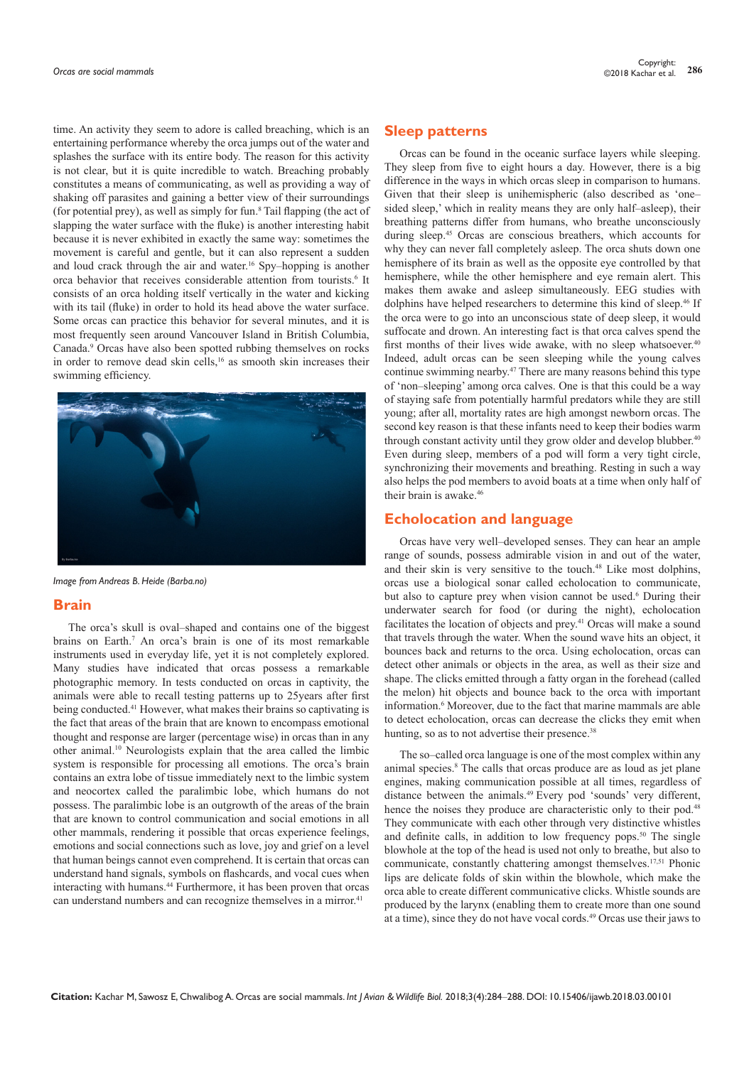time. An activity they seem to adore is called breaching, which is an entertaining performance whereby the orca jumps out of the water and splashes the surface with its entire body. The reason for this activity is not clear, but it is quite incredible to watch. Breaching probably constitutes a means of communicating, as well as providing a way of shaking off parasites and gaining a better view of their surroundings (for potential prey), as well as simply for fun.<sup>8</sup> Tail flapping (the act of slapping the water surface with the fluke) is another interesting habit because it is never exhibited in exactly the same way: sometimes the movement is careful and gentle, but it can also represent a sudden and loud crack through the air and water.<sup>16</sup> Spy–hopping is another orca behavior that receives considerable attention from tourists.<sup>6</sup> It consists of an orca holding itself vertically in the water and kicking with its tail (fluke) in order to hold its head above the water surface. Some orcas can practice this behavior for several minutes, and it is most frequently seen around Vancouver Island in British Columbia, Canada.9 Orcas have also been spotted rubbing themselves on rocks in order to remove dead skin cells,<sup>16</sup> as smooth skin increases their swimming efficiency.



*Image from Andreas B. Heide (Barba.no)*

#### **Brain**

The orca's skull is oval–shaped and contains one of the biggest brains on Earth.<sup>7</sup> An orca's brain is one of its most remarkable instruments used in everyday life, yet it is not completely explored. Many studies have indicated that orcas possess a remarkable photographic memory. In tests conducted on orcas in captivity, the animals were able to recall testing patterns up to 25years after first being conducted.41 However, what makes their brains so captivating is the fact that areas of the brain that are known to encompass emotional thought and response are larger (percentage wise) in orcas than in any other animal.10 Neurologists explain that the area called the limbic system is responsible for processing all emotions. The orca's brain contains an extra lobe of tissue immediately next to the limbic system and neocortex called the paralimbic lobe, which humans do not possess. The paralimbic lobe is an outgrowth of the areas of the brain that are known to control communication and social emotions in all other mammals, rendering it possible that orcas experience feelings, emotions and social connections such as love, joy and grief on a level that human beings cannot even comprehend. It is certain that orcas can understand hand signals, symbols on flashcards, and vocal cues when interacting with humans.44 Furthermore, it has been proven that orcas can understand numbers and can recognize themselves in a mirror.<sup>41</sup>

#### **Sleep patterns**

Orcas can be found in the oceanic surface layers while sleeping. They sleep from five to eight hours a day. However, there is a big difference in the ways in which orcas sleep in comparison to humans. Given that their sleep is unihemispheric (also described as 'one– sided sleep,' which in reality means they are only half–asleep), their breathing patterns differ from humans, who breathe unconsciously during sleep.45 Orcas are conscious breathers, which accounts for why they can never fall completely asleep. The orca shuts down one hemisphere of its brain as well as the opposite eye controlled by that hemisphere, while the other hemisphere and eye remain alert. This makes them awake and asleep simultaneously. EEG studies with dolphins have helped researchers to determine this kind of sleep.<sup>46</sup> If the orca were to go into an unconscious state of deep sleep, it would suffocate and drown. An interesting fact is that orca calves spend the first months of their lives wide awake, with no sleep whatsoever.<sup>40</sup> Indeed, adult orcas can be seen sleeping while the young calves continue swimming nearby.47 There are many reasons behind this type of 'non–sleeping' among orca calves. One is that this could be a way of staying safe from potentially harmful predators while they are still young; after all, mortality rates are high amongst newborn orcas. The second key reason is that these infants need to keep their bodies warm through constant activity until they grow older and develop blubber.<sup>40</sup> Even during sleep, members of a pod will form a very tight circle, synchronizing their movements and breathing. Resting in such a way also helps the pod members to avoid boats at a time when only half of their brain is awake.<sup>46</sup>

# **Echolocation and language**

Orcas have very well–developed senses. They can hear an ample range of sounds, possess admirable vision in and out of the water, and their skin is very sensitive to the touch.<sup>48</sup> Like most dolphins, orcas use a biological sonar called echolocation to communicate, but also to capture prey when vision cannot be used.<sup>6</sup> During their underwater search for food (or during the night), echolocation facilitates the location of objects and prey.41 Orcas will make a sound that travels through the water. When the sound wave hits an object, it bounces back and returns to the orca. Using echolocation, orcas can detect other animals or objects in the area, as well as their size and shape. The clicks emitted through a fatty organ in the forehead (called the melon) hit objects and bounce back to the orca with important information.<sup>6</sup> Moreover, due to the fact that marine mammals are able to detect echolocation, orcas can decrease the clicks they emit when hunting, so as to not advertise their presence.<sup>38</sup>

The so–called orca language is one of the most complex within any animal species.<sup>8</sup> The calls that orcas produce are as loud as jet plane engines, making communication possible at all times, regardless of distance between the animals.49 Every pod 'sounds' very different, hence the noises they produce are characteristic only to their pod.<sup>48</sup> They communicate with each other through very distinctive whistles and definite calls, in addition to low frequency pops.50 The single blowhole at the top of the head is used not only to breathe, but also to communicate, constantly chattering amongst themselves.<sup>17,51</sup> Phonic lips are delicate folds of skin within the blowhole, which make the orca able to create different communicative clicks. Whistle sounds are produced by the larynx (enabling them to create more than one sound at a time), since they do not have vocal cords.49 Orcas use their jaws to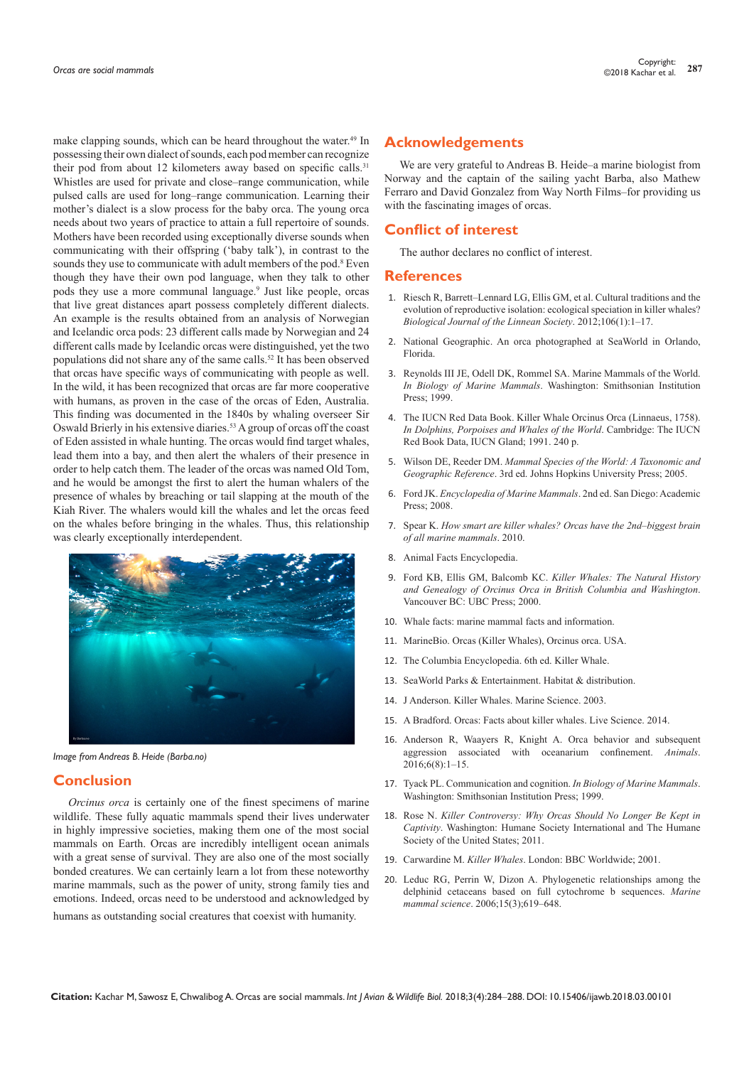make clapping sounds, which can be heard throughout the water.<sup>49</sup> In possessing their own dialect of sounds, each pod member can recognize their pod from about 12 kilometers away based on specific calls.<sup>31</sup> Whistles are used for private and close–range communication, while pulsed calls are used for long–range communication. Learning their mother's dialect is a slow process for the baby orca. The young orca needs about two years of practice to attain a full repertoire of sounds. Mothers have been recorded using exceptionally diverse sounds when communicating with their offspring ('baby talk'), in contrast to the sounds they use to communicate with adult members of the pod.<sup>8</sup> Even though they have their own pod language, when they talk to other pods they use a more communal language.<sup>9</sup> Just like people, orcas that live great distances apart possess completely different dialects. An example is the results obtained from an analysis of Norwegian and Icelandic orca pods: 23 different calls made by Norwegian and 24 different calls made by Icelandic orcas were distinguished, yet the two populations did not share any of the same calls.52 It has been observed that orcas have specific ways of communicating with people as well. In the wild, it has been recognized that orcas are far more cooperative with humans, as proven in the case of the orcas of Eden, Australia. This finding was documented in the 1840s by whaling overseer Sir Oswald Brierly in his extensive diaries.<sup>53</sup> A group of orcas off the coast of Eden assisted in whale hunting. The orcas would find target whales, lead them into a bay, and then alert the whalers of their presence in order to help catch them. The leader of the orcas was named Old Tom, and he would be amongst the first to alert the human whalers of the presence of whales by breaching or tail slapping at the mouth of the Kiah River. The whalers would kill the whales and let the orcas feed on the whales before bringing in the whales. Thus, this relationship was clearly exceptionally interdependent.



*Image from Andreas B. Heide (Barba.no)* 

#### **Conclusion**

*Orcinus orca* is certainly one of the finest specimens of marine wildlife. These fully aquatic mammals spend their lives underwater in highly impressive societies, making them one of the most social mammals on Earth. Orcas are incredibly intelligent ocean animals with a great sense of survival. They are also one of the most socially bonded creatures. We can certainly learn a lot from these noteworthy marine mammals, such as the power of unity, strong family ties and emotions. Indeed, orcas need to be understood and acknowledged by humans as outstanding social creatures that coexist with humanity.

### **Acknowledgements**

We are very grateful to Andreas B. Heide–a marine biologist from Norway and the captain of the sailing yacht Barba, also Mathew Ferraro and David Gonzalez from Way North Films–for providing us with the fascinating images of orcas.

#### **Conflict of interest**

The author declares no conflict of interest.

#### **References**

- 1. [Riesch R, Barrett–Lennard LG, Ellis GM, et al. Cultural traditions and the](https://academic.oup.com/biolinnean/article/106/1/1/2452589)  [evolution of reproductive isolation: ecological speciation in killer whales?](https://academic.oup.com/biolinnean/article/106/1/1/2452589)  *[Biological Journal of the Linnean Society](https://academic.oup.com/biolinnean/article/106/1/1/2452589)*. 2012;106(1):1–17.
- 2. [National Geographic. An orca photographed at SeaWorld in Orlando,](https://www.nationalgeographic.com/animals/mammals/o/orca/)  [Florida.](https://www.nationalgeographic.com/animals/mammals/o/orca/)
- 3. Reynolds III JE, Odell DK, Rommel SA. Marine Mammals of the World. *In Biology of Marine Mammals*. Washington: Smithsonian Institution Press; 1999.
- 4. [The IUCN Red Data Book. Killer Whale Orcinus Orca \(Linnaeus, 1758\).](http://www.iucnredlist.org/details/15421/0)  *[In Dolphins, Porpoises and Whales of the World](http://www.iucnredlist.org/details/15421/0)*. Cambridge: The IUCN [Red Book Data, IUCN Gland; 1991. 240 p.](http://www.iucnredlist.org/details/15421/0)
- 5. Wilson DE, Reeder DM. *[Mammal Species of the World: A Taxonomic and](https://academic.oup.com/jmammal/article/88/3/824/1073866)  Geographic Reference*[. 3rd ed. Johns Hopkins University Press; 2005.](https://academic.oup.com/jmammal/article/88/3/824/1073866)
- 6. Ford JK. *[Encyclopedia of Marine Mammals](https://www.elsevier.com/books/encyclopedia-of-marine-mammals/wursig/978-0-12-373553-9)*. 2nd ed. San Diego: Academic [Press; 2008.](https://www.elsevier.com/books/encyclopedia-of-marine-mammals/wursig/978-0-12-373553-9)
- 7. Spear K. *[How smart are killer whales? Orcas have the 2nd–biggest brain](https://phys.org/news/2010-03-smart-killer-whales-orcas-2nd-biggest.html)  [of all marine mammals](https://phys.org/news/2010-03-smart-killer-whales-orcas-2nd-biggest.html)*. 2010.
- 8. [Animal Facts Encyclopedia.](http://www.animalfactsencyclopedia.com/Killer–whale–facts.html)
- 9. Ford KB, Ellis GM, Balcomb KC. *[Killer Whales: The Natural History](https://trove.nla.gov.au/work/30035830?selectedversion=NBD10927115)  [and Genealogy of Orcinus Orca in British Columbia and Washington](https://trove.nla.gov.au/work/30035830?selectedversion=NBD10927115)*. [Vancouver BC: UBC Press; 2000.](https://trove.nla.gov.au/work/30035830?selectedversion=NBD10927115)
- 10. [Whale facts: marine mammal facts and information.](http://www.whalefacts.org/killer-whale-facts/)
- 11. [MarineBio. Orcas \(Killer Whales\), Orcinus orca. USA.](http://marinebio.org/species.asp?id=84.)
- 12. [The Columbia Encyclopedia. 6th ed. Killer Whale.](https://www.encyclopedia.com/plants-and-animals/animals/vertebrate-zoology/killer-whale)
- 13. [SeaWorld Parks & Entertainment. Habitat & distribution.](https://seaworld.org/animal-info/animal-infobooks/killer-whale/habitat-and-distribution/)
- 14. [J Anderson. Killer Whales. Marine Science. 2003.](http://www.marinebio.net/marinescience/05nekton/KWreproduction.htm)
- 15. [A Bradford. Orcas: Facts about killer whales. Live Science. 2014.](https://www.livescience.com/27431-orcas-killer-whales.html)
- 16. [Anderson R, Waayers R, Knight A. Orca behavior and subsequent](http://www.mdpi.com/2076-2615/6/8/49)  [aggression associated with oceanarium confinement.](http://www.mdpi.com/2076-2615/6/8/49) *Animals*. [2016;6\(8\):1–15.](http://www.mdpi.com/2076-2615/6/8/49)
- 17. Tyack PL. Communication and cognition. *In Biology of Marine Mammals*. Washington: Smithsonian Institution Press; 1999.
- 18. Rose N. *[Killer Controversy: Why Orcas Should No Longer Be Kept in](http://www.hsi.org/assets/pdfs/orca_white_paper.pdf)  Captivity*[. Washington: Humane Society International and The Humane](http://www.hsi.org/assets/pdfs/orca_white_paper.pdf)  [Society of the United States; 2011.](http://www.hsi.org/assets/pdfs/orca_white_paper.pdf)
- 19. Carwardine M. *Killer Whales*. London: BBC Worldwide; 2001.
- 20. [Leduc RG, Perrin W, Dizon A. Phylogenetic relationships among the](file:///D:/Mamatha/16-07-2018/IJAWB-03-00101/IJAWB-18-RW-241_W/Phylogenetic%20relationships%20among%20the%20delphinid%20cetaceans%20based%20on%20full%20cytochrome%20b%20sequences)  [delphinid cetaceans based on full cytochrome b sequences.](file:///D:/Mamatha/16-07-2018/IJAWB-03-00101/IJAWB-18-RW-241_W/Phylogenetic%20relationships%20among%20the%20delphinid%20cetaceans%20based%20on%20full%20cytochrome%20b%20sequences) *Marine mammal science*[. 2006;15\(3\);619–648.](file:///D:/Mamatha/16-07-2018/IJAWB-03-00101/IJAWB-18-RW-241_W/Phylogenetic%20relationships%20among%20the%20delphinid%20cetaceans%20based%20on%20full%20cytochrome%20b%20sequences)